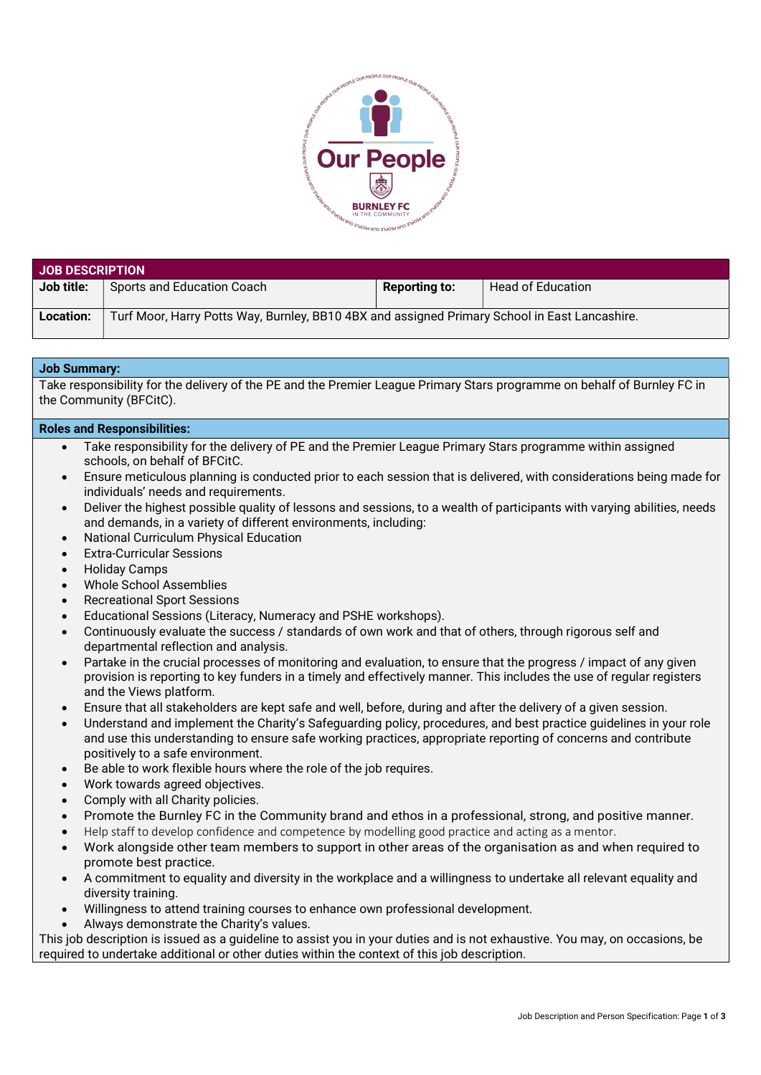

| <b>JOB DESCRIPTION</b> |                                                                                               |                      |                          |  |  |
|------------------------|-----------------------------------------------------------------------------------------------|----------------------|--------------------------|--|--|
| Job title:             | Sports and Education Coach                                                                    | <b>Reporting to:</b> | <b>Head of Education</b> |  |  |
| Location:              | Turf Moor, Harry Potts Way, Burnley, BB10 4BX and assigned Primary School in East Lancashire. |                      |                          |  |  |

## Job Summary:

Take responsibility for the delivery of the PE and the Premier League Primary Stars programme on behalf of Burnley FC in the Community (BFCitC).

## Roles and Responsibilities:

- Take responsibility for the delivery of PE and the Premier League Primary Stars programme within assigned schools, on behalf of BFCitC.
- Ensure meticulous planning is conducted prior to each session that is delivered, with considerations being made for individuals' needs and requirements.
- Deliver the highest possible quality of lessons and sessions, to a wealth of participants with varying abilities, needs and demands, in a variety of different environments, including:
- National Curriculum Physical Education
- Extra-Curricular Sessions
- Holiday Camps
- Whole School Assemblies
- Recreational Sport Sessions
- Educational Sessions (Literacy, Numeracy and PSHE workshops).
- Continuously evaluate the success / standards of own work and that of others, through rigorous self and departmental reflection and analysis.
- Partake in the crucial processes of monitoring and evaluation, to ensure that the progress / impact of any given provision is reporting to key funders in a timely and effectively manner. This includes the use of regular registers and the Views platform.
- Ensure that all stakeholders are kept safe and well, before, during and after the delivery of a given session.
- Understand and implement the Charity's Safeguarding policy, procedures, and best practice guidelines in your role and use this understanding to ensure safe working practices, appropriate reporting of concerns and contribute positively to a safe environment.
- Be able to work flexible hours where the role of the job requires.
- Work towards agreed objectives.
- Comply with all Charity policies.
- Promote the Burnley FC in the Community brand and ethos in a professional, strong, and positive manner.
- Help staff to develop confidence and competence by modelling good practice and acting as a mentor.
- Work alongside other team members to support in other areas of the organisation as and when required to promote best practice.
- A commitment to equality and diversity in the workplace and a willingness to undertake all relevant equality and diversity training.
- Willingness to attend training courses to enhance own professional development.
- Always demonstrate the Charity's values.

This job description is issued as a guideline to assist you in your duties and is not exhaustive. You may, on occasions, be required to undertake additional or other duties within the context of this job description.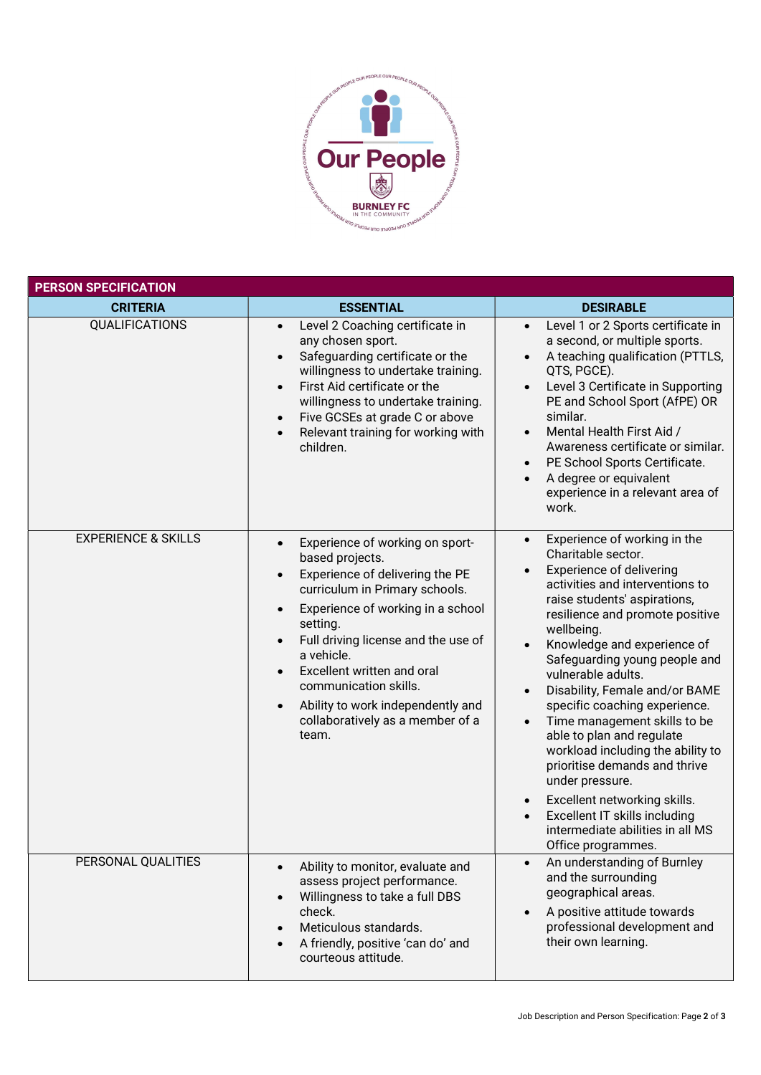

| <b>PERSON SPECIFICATION</b>    |                                                                                                                                                                                                                                                                                                                                                                                                                                                      |                                                                                                                                                                                                                                                                                                                                                                                                                                                                                                                                                                                                                                                                                                               |  |  |
|--------------------------------|------------------------------------------------------------------------------------------------------------------------------------------------------------------------------------------------------------------------------------------------------------------------------------------------------------------------------------------------------------------------------------------------------------------------------------------------------|---------------------------------------------------------------------------------------------------------------------------------------------------------------------------------------------------------------------------------------------------------------------------------------------------------------------------------------------------------------------------------------------------------------------------------------------------------------------------------------------------------------------------------------------------------------------------------------------------------------------------------------------------------------------------------------------------------------|--|--|
| <b>CRITERIA</b>                | <b>ESSENTIAL</b>                                                                                                                                                                                                                                                                                                                                                                                                                                     | <b>DESIRABLE</b>                                                                                                                                                                                                                                                                                                                                                                                                                                                                                                                                                                                                                                                                                              |  |  |
| QUALIFICATIONS                 | Level 2 Coaching certificate in<br>$\bullet$<br>any chosen sport.<br>Safeguarding certificate or the<br>$\bullet$<br>willingness to undertake training.<br>First Aid certificate or the<br>$\bullet$<br>willingness to undertake training.<br>Five GCSEs at grade C or above<br>$\bullet$<br>Relevant training for working with<br>$\bullet$<br>children.                                                                                            | Level 1 or 2 Sports certificate in<br>a second, or multiple sports.<br>A teaching qualification (PTTLS,<br>QTS, PGCE).<br>Level 3 Certificate in Supporting<br>PE and School Sport (AfPE) OR<br>similar.<br>Mental Health First Aid /<br>Awareness certificate or similar.<br>PE School Sports Certificate.<br>$\bullet$<br>A degree or equivalent<br>experience in a relevant area of<br>work.                                                                                                                                                                                                                                                                                                               |  |  |
| <b>EXPERIENCE &amp; SKILLS</b> | Experience of working on sport-<br>$\bullet$<br>based projects.<br>Experience of delivering the PE<br>$\bullet$<br>curriculum in Primary schools.<br>Experience of working in a school<br>$\bullet$<br>setting.<br>Full driving license and the use of<br>$\bullet$<br>a vehicle.<br>Excellent written and oral<br>$\bullet$<br>communication skills.<br>Ability to work independently and<br>$\bullet$<br>collaboratively as a member of a<br>team. | Experience of working in the<br>$\bullet$<br>Charitable sector.<br>Experience of delivering<br>activities and interventions to<br>raise students' aspirations,<br>resilience and promote positive<br>wellbeing.<br>Knowledge and experience of<br>$\bullet$<br>Safeguarding young people and<br>vulnerable adults.<br>Disability, Female and/or BAME<br>$\bullet$<br>specific coaching experience.<br>Time management skills to be<br>$\bullet$<br>able to plan and regulate<br>workload including the ability to<br>prioritise demands and thrive<br>under pressure.<br>Excellent networking skills.<br>$\bullet$<br>Excellent IT skills including<br>intermediate abilities in all MS<br>Office programmes. |  |  |
| PERSONAL QUALITIES             | Ability to monitor, evaluate and<br>$\bullet$<br>assess project performance.<br>Willingness to take a full DBS<br>$\bullet$<br>check.<br>Meticulous standards.<br>$\bullet$<br>A friendly, positive 'can do' and<br>$\bullet$<br>courteous attitude.                                                                                                                                                                                                 | An understanding of Burnley<br>$\bullet$<br>and the surrounding<br>geographical areas.<br>A positive attitude towards<br>$\bullet$<br>professional development and<br>their own learning.                                                                                                                                                                                                                                                                                                                                                                                                                                                                                                                     |  |  |